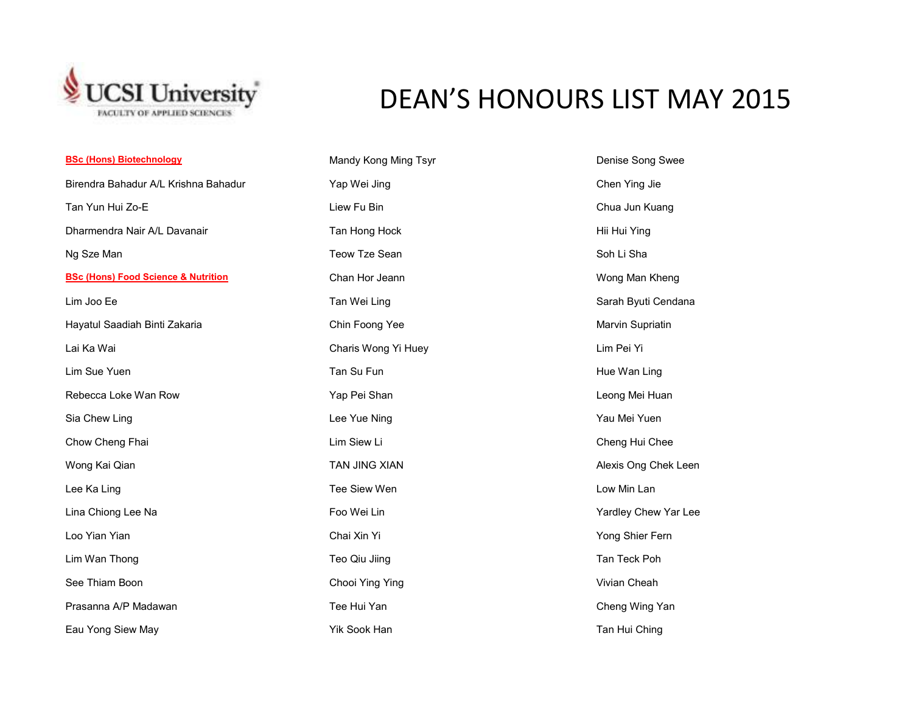

## DEAN'S HONOURS LIST MAY 2015

## **BSc (Hons) Biotechnology** Birendra Bahadur A/L Krishna Bahadur Yap Wei Jing Chen Ying Jie Tan Yun Hui Zo-E Liew Fu Bin Chua Jun Kuang Dharmendra Nair A/L Davanair **Tan Hong Hock** Tan Hong Hock Hii Hui Ying Ng Sze Man Teow Tale Sean Soh Li Sha Soh Li Sha Soh Li Sha Soh Li Sha Soh Li Sha **BSc (Hons) Food Science & Nutrition**Lim Joo Ee Tan Mercedes Associates of the Tan Wei Ling Sarah Byuti Cendana Sarah Byuti Cendana Hayatul Saadiah Binti Zakaria **Maryin Supriatin** Chin Foong Yee Marvin Supriatin Supriatin Supriatin Lai Ka Wai Charis Wong Yi Huey Lim Pei Yi Lim Sue Yuen Tan Su Fundation of Tan Su Fundation of the Wan Ling Hue Wan Ling Tan Su Fundation of Tan Su Fund Rebecca Loke Wan Row **The Contract Contract Contract Contract Contract Contract Contract Contract Contract Contract Contract Contract Contract Contract Contract Contract Contract Contract Contract Contract Contract Contrac** Sia Chew Ling Lee Yue Ning Yau Mei Yuen Chow Cheng Fhai **Lim Siew Limes Cheng Hui Cheng Hui Cheng Hui Cheng Hui Cheng Hui Cheng Hui Cheng Hui Cheng Hui Cheng Hui Cheng Hui Cheng Hui Cheng Hui Cheng Hui Cheng Hui Cheng Hui Cheng Hui Cheng Hui Cheng Hui Cheng Hui** Wong Kai Qian **TAN JING XIAN** TAN JING XIAN Alexis Ong Chek Leen Lee Ka Ling Tee Siew Wen Low Min Lan Lina Chiong Lee Na Formula Chiong Lee Na Foo Wei Lin National Chew Yardley Chew Yar Lee Loo Yian Yian Chai Xin Yi Yong Shier Fern Lim Wan Thong Thomas Teo Qiu Jiing Tan Teck Poh Tan Teck Poh See Thiam Boon **Chooi Ying Ying Chooi Ying Ying** Chooi Ying Ying Cheah **Cheah** Vivian Cheah Prasanna A/P Madawan **Tee Hui Yan Cheng Wing Yan Cheng Wing Yan** Cheng Wing Yan Cheng Wing Yan Eau Yong Siew May November 2012 Tan Hui Ching Tan Hui Ching Tan Hui Ching Tan Hui Ching

**Mandy Kong Ming Tsyr Denise Song Swee** Chan Hor Jeann Wong Man Kheng